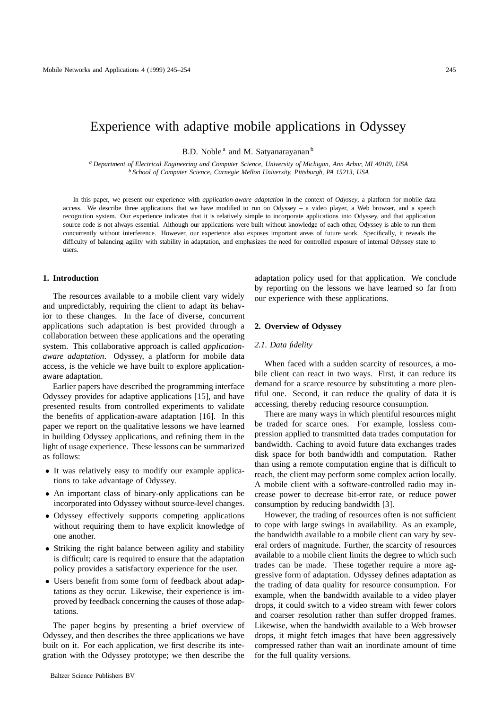# Experience with adaptive mobile applications in Odyssey

B.D. Noble<sup>a</sup> and M. Satyanarayanan<sup>b</sup>

*<sup>a</sup> Department of Electrical Engineering and Computer Science, University of Michigan, Ann Arbor, MI 40109, USA <sup>b</sup> School of Computer Science, Carnegie Mellon University, Pittsburgh, PA 15213, USA*

In this paper, we present our experience with *application-aware adaptation* in the context of *Odyssey*, a platform for mobile data access. We describe three applications that we have modified to run on Odyssey – a video player, a Web browser, and a speech recognition system. Our experience indicates that it is relatively simple to incorporate applications into Odyssey, and that application source code is not always essential. Although our applications were built without knowledge of each other, Odyssey is able to run them concurrently without interference. However, our experience also exposes important areas of future work. Specifically, it reveals the difficulty of balancing agility with stability in adaptation, and emphasizes the need for controlled exposure of internal Odyssey state to users.

# **1. Introduction**

The resources available to a mobile client vary widely and unpredictably, requiring the client to adapt its behavior to these changes. In the face of diverse, concurrent applications such adaptation is best provided through a collaboration between these applications and the operating system. This collaborative approach is called *applicationaware adaptation*. Odyssey, a platform for mobile data access, is the vehicle we have built to explore applicationaware adaptation.

Earlier papers have described the programming interface Odyssey provides for adaptive applications [15], and have presented results from controlled experiments to validate the benefits of application-aware adaptation [16]. In this paper we report on the qualitative lessons we have learned in building Odyssey applications, and refining them in the light of usage experience. These lessons can be summarized as follows:

- It was relatively easy to modify our example applications to take advantage of Odyssey.
- An important class of binary-only applications can be incorporated into Odyssey without source-level changes.
- Odyssey effectively supports competing applications without requiring them to have explicit knowledge of one another.
- Striking the right balance between agility and stability is difficult; care is required to ensure that the adaptation policy provides a satisfactory experience for the user.
- Users benefit from some form of feedback about adaptations as they occur. Likewise, their experience is improved by feedback concerning the causes of those adaptations.

The paper begins by presenting a brief overview of Odyssey, and then describes the three applications we have built on it. For each application, we first describe its integration with the Odyssey prototype; we then describe the

adaptation policy used for that application. We conclude by reporting on the lessons we have learned so far from our experience with these applications.

#### **2. Overview of Odyssey**

#### *2.1. Data fidelity*

When faced with a sudden scarcity of resources, a mobile client can react in two ways. First, it can reduce its demand for a scarce resource by substituting a more plentiful one. Second, it can reduce the quality of data it is accessing, thereby reducing resource consumption.

There are many ways in which plentiful resources might be traded for scarce ones. For example, lossless compression applied to transmitted data trades computation for bandwidth. Caching to avoid future data exchanges trades disk space for both bandwidth and computation. Rather than using a remote computation engine that is difficult to reach, the client may perform some complex action locally. A mobile client with a software-controlled radio may increase power to decrease bit-error rate, or reduce power consumption by reducing bandwidth [3].

However, the trading of resources often is not sufficient to cope with large swings in availability. As an example, the bandwidth available to a mobile client can vary by several orders of magnitude. Further, the scarcity of resources available to a mobile client limits the degree to which such trades can be made. These together require a more aggressive form of adaptation. Odyssey defines adaptation as the trading of data quality for resource consumption. For example, when the bandwidth available to a video player drops, it could switch to a video stream with fewer colors and coarser resolution rather than suffer dropped frames. Likewise, when the bandwidth available to a Web browser drops, it might fetch images that have been aggressively compressed rather than wait an inordinate amount of time for the full quality versions.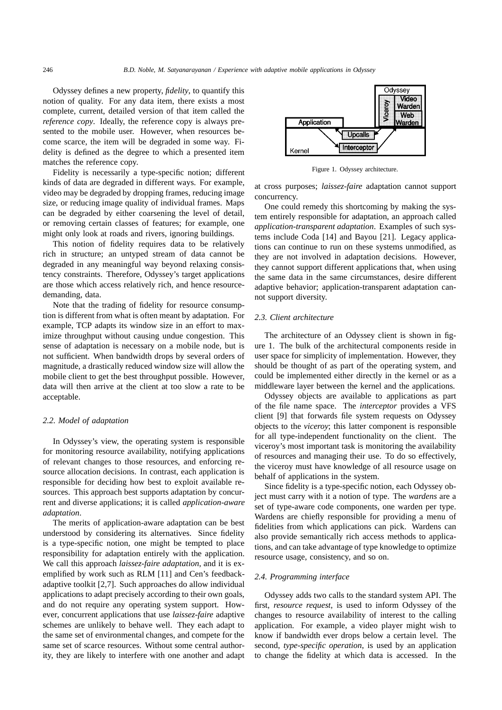Odyssey defines a new property, *fidelity*, to quantify this notion of quality. For any data item, there exists a most complete, current, detailed version of that item called the *reference copy*. Ideally, the reference copy is always presented to the mobile user. However, when resources become scarce, the item will be degraded in some way. Fidelity is defined as the degree to which a presented item matches the reference copy.

Fidelity is necessarily a type-specific notion; different kinds of data are degraded in different ways. For example, video may be degraded by dropping frames, reducing image size, or reducing image quality of individual frames. Maps can be degraded by either coarsening the level of detail, or removing certain classes of features; for example, one might only look at roads and rivers, ignoring buildings.

This notion of fidelity requires data to be relatively rich in structure; an untyped stream of data cannot be degraded in any meaningful way beyond relaxing consistency constraints. Therefore, Odyssey's target applications are those which access relatively rich, and hence resourcedemanding, data.

Note that the trading of fidelity for resource consumption is different from what is often meant by adaptation. For example, TCP adapts its window size in an effort to maximize throughput without causing undue congestion. This sense of adaptation is necessary on a mobile node, but is not sufficient. When bandwidth drops by several orders of magnitude, a drastically reduced window size will allow the mobile client to get the best throughput possible. However, data will then arrive at the client at too slow a rate to be acceptable.

#### *2.2. Model of adaptation*

In Odyssey's view, the operating system is responsible for monitoring resource availability, notifying applications of relevant changes to those resources, and enforcing resource allocation decisions. In contrast, each application is responsible for deciding how best to exploit available resources. This approach best supports adaptation by concurrent and diverse applications; it is called *application-aware adaptation*.

The merits of application-aware adaptation can be best understood by considering its alternatives. Since fidelity is a type-specific notion, one might be tempted to place responsibility for adaptation entirely with the application. We call this approach *laissez-faire adaptation*, and it is exemplified by work such as RLM [11] and Cen's feedbackadaptive toolkit [2,7]. Such approaches do allow individual applications to adapt precisely according to their own goals, and do not require any operating system support. However, concurrent applications that use *laissez-faire* adaptive schemes are unlikely to behave well. They each adapt to the same set of environmental changes, and compete for the same set of scarce resources. Without some central authority, they are likely to interfere with one another and adapt



Figure 1. Odyssey architecture.

at cross purposes; *laissez-faire* adaptation cannot support concurrency.

One could remedy this shortcoming by making the system entirely responsible for adaptation, an approach called *application-transparent adaptation*. Examples of such systems include Coda [14] and Bayou [21]. Legacy applications can continue to run on these systems unmodified, as they are not involved in adaptation decisions. However, they cannot support different applications that, when using the same data in the same circumstances, desire different adaptive behavior; application-transparent adaptation cannot support diversity.

# *2.3. Client architecture*

The architecture of an Odyssey client is shown in figure 1. The bulk of the architectural components reside in user space for simplicity of implementation. However, they should be thought of as part of the operating system, and could be implemented either directly in the kernel or as a middleware layer between the kernel and the applications.

Odyssey objects are available to applications as part of the file name space. The *interceptor* provides a VFS client [9] that forwards file system requests on Odyssey objects to the *viceroy*; this latter component is responsible for all type-independent functionality on the client. The viceroy's most important task is monitoring the availability of resources and managing their use. To do so effectively, the viceroy must have knowledge of all resource usage on behalf of applications in the system.

Since fidelity is a type-specific notion, each Odyssey object must carry with it a notion of type. The *wardens* are a set of type-aware code components, one warden per type. Wardens are chiefly responsible for providing a menu of fidelities from which applications can pick. Wardens can also provide semantically rich access methods to applications, and can take advantage of type knowledge to optimize resource usage, consistency, and so on.

#### *2.4. Programming interface*

Odyssey adds two calls to the standard system API. The first, *resource request*, is used to inform Odyssey of the changes to resource availability of interest to the calling application. For example, a video player might wish to know if bandwidth ever drops below a certain level. The second, *type-specific operation*, is used by an application to change the fidelity at which data is accessed. In the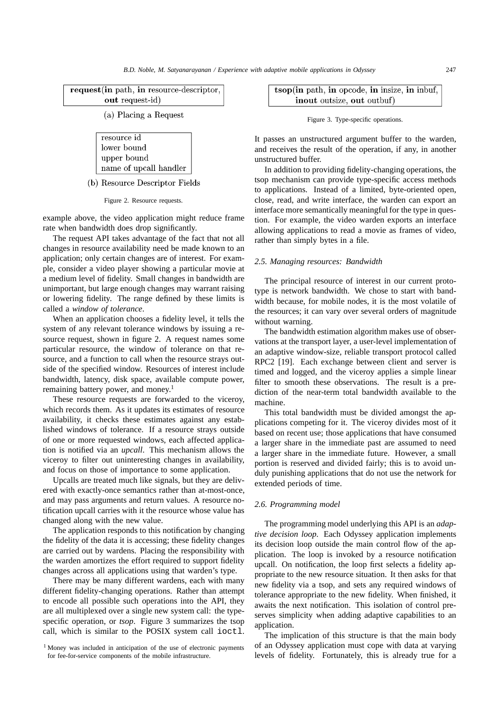# request (in path, in resource-descriptor, out request-id)

(a) Placing a Request

| resource id            |  |
|------------------------|--|
| lower bound            |  |
| upper bound            |  |
| name of upcall handler |  |

(b) Resource Descriptor Fields

Figure 2. Resource requests.

example above, the video application might reduce frame rate when bandwidth does drop significantly.

The request API takes advantage of the fact that not all changes in resource availability need be made known to an application; only certain changes are of interest. For example, consider a video player showing a particular movie at a medium level of fidelity. Small changes in bandwidth are unimportant, but large enough changes may warrant raising or lowering fidelity. The range defined by these limits is called a *window of tolerance*.

When an application chooses a fidelity level, it tells the system of any relevant tolerance windows by issuing a resource request, shown in figure 2. A request names some particular resource, the window of tolerance on that resource, and a function to call when the resource strays outside of the specified window. Resources of interest include bandwidth, latency, disk space, available compute power, remaining battery power, and money.<sup>1</sup>

These resource requests are forwarded to the viceroy, which records them. As it updates its estimates of resource availability, it checks these estimates against any established windows of tolerance. If a resource strays outside of one or more requested windows, each affected application is notified via an *upcall*. This mechanism allows the viceroy to filter out uninteresting changes in availability, and focus on those of importance to some application.

Upcalls are treated much like signals, but they are delivered with exactly-once semantics rather than at-most-once, and may pass arguments and return values. A resource notification upcall carries with it the resource whose value has changed along with the new value.

The application responds to this notification by changing the fidelity of the data it is accessing; these fidelity changes are carried out by wardens. Placing the responsibility with the warden amortizes the effort required to support fidelity changes across all applications using that warden's type.

There may be many different wardens, each with many different fidelity-changing operations. Rather than attempt to encode all possible such operations into the API, they are all multiplexed over a single new system call: the typespecific operation, or *tsop*. Figure 3 summarizes the tsop call, which is similar to the POSIX system call ioctl.

 $t\text{sop}(in\$  path, in opcode, in insize, in inbuf, inout outsize, out outbuf)

Figure 3. Type-specific operations.

It passes an unstructured argument buffer to the warden, and receives the result of the operation, if any, in another unstructured buffer.

In addition to providing fidelity-changing operations, the tsop mechanism can provide type-specific access methods to applications. Instead of a limited, byte-oriented open, close, read, and write interface, the warden can export an interface more semantically meaningful for the type in question. For example, the video warden exports an interface allowing applications to read a movie as frames of video, rather than simply bytes in a file.

## *2.5. Managing resources: Bandwidth*

The principal resource of interest in our current prototype is network bandwidth. We chose to start with bandwidth because, for mobile nodes, it is the most volatile of the resources; it can vary over several orders of magnitude without warning.

The bandwidth estimation algorithm makes use of observations at the transport layer, a user-level implementation of an adaptive window-size, reliable transport protocol called RPC2 [19]. Each exchange between client and server is timed and logged, and the viceroy applies a simple linear filter to smooth these observations. The result is a prediction of the near-term total bandwidth available to the machine.

This total bandwidth must be divided amongst the applications competing for it. The viceroy divides most of it based on recent use; those applications that have consumed a larger share in the immediate past are assumed to need a larger share in the immediate future. However, a small portion is reserved and divided fairly; this is to avoid unduly punishing applications that do not use the network for extended periods of time.

## *2.6. Programming model*

The programming model underlying this API is an *adaptive decision loop*. Each Odyssey application implements its decision loop outside the main control flow of the application. The loop is invoked by a resource notification upcall. On notification, the loop first selects a fidelity appropriate to the new resource situation. It then asks for that new fidelity via a tsop, and sets any required windows of tolerance appropriate to the new fidelity. When finished, it awaits the next notification. This isolation of control preserves simplicity when adding adaptive capabilities to an application.

The implication of this structure is that the main body of an Odyssey application must cope with data at varying levels of fidelity. Fortunately, this is already true for a

<sup>&</sup>lt;sup>1</sup> Money was included in anticipation of the use of electronic payments for fee-for-service components of the mobile infrastructure.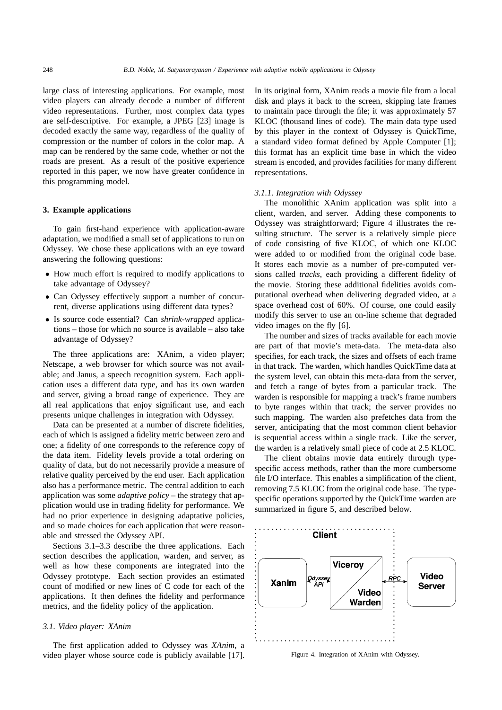large class of interesting applications. For example, most video players can already decode a number of different video representations. Further, most complex data types are self-descriptive. For example, a JPEG [23] image is decoded exactly the same way, regardless of the quality of compression or the number of colors in the color map. A map can be rendered by the same code, whether or not the roads are present. As a result of the positive experience reported in this paper, we now have greater confidence in this programming model.

# **3. Example applications**

To gain first-hand experience with application-aware adaptation, we modified a small set of applications to run on Odyssey. We chose these applications with an eye toward answering the following questions:

- How much effort is required to modify applications to take advantage of Odyssey?
- Can Odyssey effectively support a number of concurrent, diverse applications using different data types?
- Is source code essential? Can *shrink-wrapped* applications – those for which no source is available – also take advantage of Odyssey?

The three applications are: XAnim, a video player; Netscape, a web browser for which source was not available; and Janus, a speech recognition system. Each application uses a different data type, and has its own warden and server, giving a broad range of experience. They are all real applications that enjoy significant use, and each presents unique challenges in integration with Odyssey.

Data can be presented at a number of discrete fidelities, each of which is assigned a fidelity metric between zero and one; a fidelity of one corresponds to the reference copy of the data item. Fidelity levels provide a total ordering on quality of data, but do not necessarily provide a measure of relative quality perceived by the end user. Each application also has a performance metric. The central addition to each application was some *adaptive policy* – the strategy that application would use in trading fidelity for performance. We had no prior experience in designing adaptative policies, and so made choices for each application that were reasonable and stressed the Odyssey API.

Sections 3.1–3.3 describe the three applications. Each section describes the application, warden, and server, as well as how these components are integrated into the Odyssey prototype. Each section provides an estimated count of modified or new lines of C code for each of the applications. It then defines the fidelity and performance metrics, and the fidelity policy of the application.

# *3.1. Video player: XAnim*

The first application added to Odyssey was *XAnim*, a video player whose source code is publicly available [17]. In its original form, XAnim reads a movie file from a local disk and plays it back to the screen, skipping late frames to maintain pace through the file; it was approximately 57 KLOC (thousand lines of code). The main data type used by this player in the context of Odyssey is QuickTime, a standard video format defined by Apple Computer [1]; this format has an explicit time base in which the video stream is encoded, and provides facilities for many different representations.

# *3.1.1. Integration with Odyssey*

The monolithic XAnim application was split into a client, warden, and server. Adding these components to Odyssey was straightforward; Figure 4 illustrates the resulting structure. The server is a relatively simple piece of code consisting of five KLOC, of which one KLOC were added to or modified from the original code base. It stores each movie as a number of pre-computed versions called *tracks*, each providing a different fidelity of the movie. Storing these additional fidelities avoids computational overhead when delivering degraded video, at a space overhead cost of 60%. Of course, one could easily modify this server to use an on-line scheme that degraded video images on the fly [6].

The number and sizes of tracks available for each movie are part of that movie's meta-data. The meta-data also specifies, for each track, the sizes and offsets of each frame in that track. The warden, which handles QuickTime data at the system level, can obtain this meta-data from the server, and fetch a range of bytes from a particular track. The warden is responsible for mapping a track's frame numbers to byte ranges within that track; the server provides no such mapping. The warden also prefetches data from the server, anticipating that the most common client behavior is sequential access within a single track. Like the server, the warden is a relatively small piece of code at 2.5 KLOC.

The client obtains movie data entirely through typespecific access methods, rather than the more cumbersome file I/O interface. This enables a simplification of the client, removing 7.5 KLOC from the original code base. The typespecific operations supported by the QuickTime warden are summarized in figure 5, and described below.



Figure 4. Integration of XAnim with Odyssey.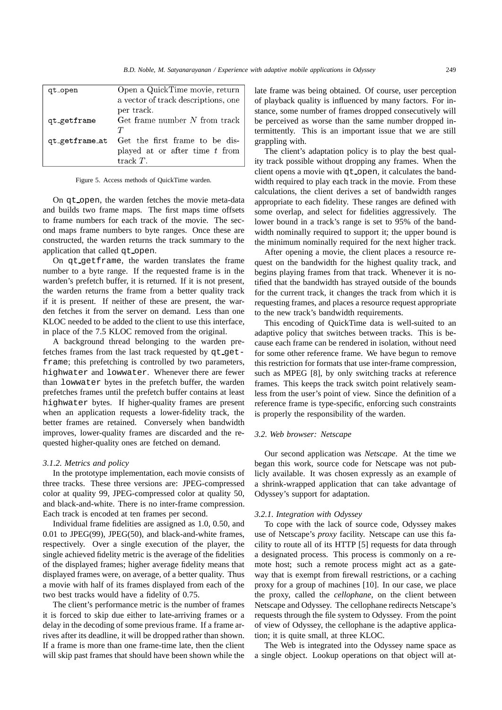| qt_open        | Open a QuickTime movie, return      |
|----------------|-------------------------------------|
|                | a vector of track descriptions, one |
|                | per track.                          |
| qt_getframe    | Get frame number $N$ from track     |
|                |                                     |
| qt_getframe_at | Get the first frame to be dis-      |
|                | played at or after time $t$ from    |
|                | track $T$ .                         |

Figure 5. Access methods of QuickTime warden.

On qt open, the warden fetches the movie meta-data and builds two frame maps. The first maps time offsets to frame numbers for each track of the movie. The second maps frame numbers to byte ranges. Once these are constructed, the warden returns the track summary to the application that called  $qt$  open.

On qt getframe, the warden translates the frame number to a byte range. If the requested frame is in the warden's prefetch buffer, it is returned. If it is not present, the warden returns the frame from a better quality track if it is present. If neither of these are present, the warden fetches it from the server on demand. Less than one KLOC needed to be added to the client to use this interface, in place of the 7.5 KLOC removed from the original.

A background thread belonging to the warden prefetches frames from the last track requested by qt\_getframe; this prefetching is controlled by two parameters, highwater and lowwater. Whenever there are fewer than lowwater bytes in the prefetch buffer, the warden prefetches frames until the prefetch buffer contains at least highwater bytes. If higher-quality frames are present when an application requests a lower-fidelity track, the better frames are retained. Conversely when bandwidth improves, lower-quality frames are discarded and the requested higher-quality ones are fetched on demand.

#### *3.1.2. Metrics and policy*

In the prototype implementation, each movie consists of three tracks. These three versions are: JPEG-compressed color at quality 99, JPEG-compressed color at quality 50, and black-and-white. There is no inter-frame compression. Each track is encoded at ten frames per second.

Individual frame fidelities are assigned as 1.0, 0.50, and 0.01 to JPEG(99), JPEG(50), and black-and-white frames, respectively. Over a single execution of the player, the single achieved fidelity metric is the average of the fidelities of the displayed frames; higher average fidelity means that displayed frames were, on average, of a better quality. Thus a movie with half of its frames displayed from each of the two best tracks would have a fidelity of 0.75.

The client's performance metric is the number of frames it is forced to skip due either to late-arriving frames or a delay in the decoding of some previous frame. If a frame arrives after its deadline, it will be dropped rather than shown. If a frame is more than one frame-time late, then the client will skip past frames that should have been shown while the

late frame was being obtained. Of course, user perception of playback quality is influenced by many factors. For instance, some number of frames dropped consecutively will be perceived as worse than the same number dropped intermittently. This is an important issue that we are still grappling with.

The client's adaptation policy is to play the best quality track possible without dropping any frames. When the client opens a movie with qt open, it calculates the bandwidth required to play each track in the movie. From these calculations, the client derives a set of bandwidth ranges appropriate to each fidelity. These ranges are defined with some overlap, and select for fidelities aggressively. The lower bound in a track's range is set to 95% of the bandwidth nominally required to support it; the upper bound is the minimum nominally required for the next higher track.

After opening a movie, the client places a resource request on the bandwidth for the highest quality track, and begins playing frames from that track. Whenever it is notified that the bandwidth has strayed outside of the bounds for the current track, it changes the track from which it is requesting frames, and places a resource request appropriate to the new track's bandwidth requirements.

This encoding of QuickTime data is well-suited to an adaptive policy that switches between tracks. This is because each frame can be rendered in isolation, without need for some other reference frame. We have begun to remove this restriction for formats that use inter-frame compression, such as MPEG [8], by only switching tracks at reference frames. This keeps the track switch point relatively seamless from the user's point of view. Since the definition of a reference frame is type-specific, enforcing such constraints is properly the responsibility of the warden.

### *3.2. Web browser: Netscape*

Our second application was *Netscape*. At the time we began this work, source code for Netscape was not publicly available. It was chosen expressly as an example of a shrink-wrapped application that can take advantage of Odyssey's support for adaptation.

#### *3.2.1. Integration with Odyssey*

To cope with the lack of source code, Odyssey makes use of Netscape's *proxy* facility. Netscape can use this facility to route all of its HTTP [5] requests for data through a designated process. This process is commonly on a remote host; such a remote process might act as a gateway that is exempt from firewall restrictions, or a caching proxy for a group of machines [10]. In our case, we place the proxy, called the *cellophane*, on the client between Netscape and Odyssey. The cellophane redirects Netscape's requests through the file system to Odyssey. From the point of view of Odyssey, the cellophane is the adaptive application; it is quite small, at three KLOC.

The Web is integrated into the Odyssey name space as a single object. Lookup operations on that object will at-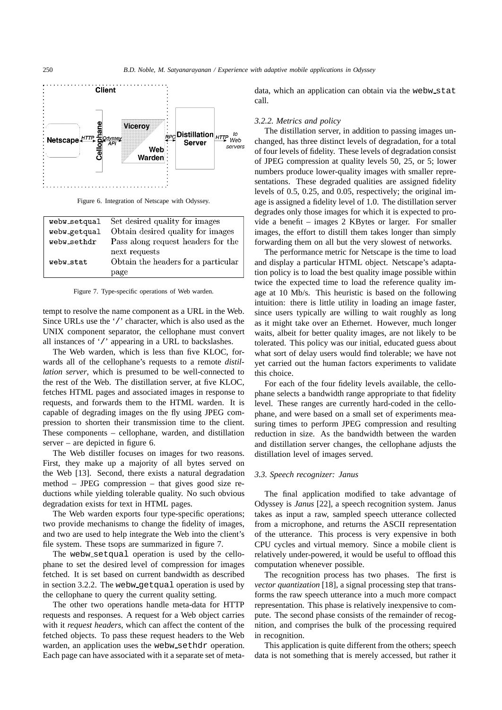

Figure 6. Integration of Netscape with Odyssey.

| webw_setqual | Set desired quality for images      |
|--------------|-------------------------------------|
| webw_getqual | Obtain desired quality for images   |
| webw_sethdr  | Pass along request headers for the  |
|              | next requests                       |
| webw_stat    | Obtain the headers for a particular |
|              | page                                |

Figure 7. Type-specific operations of Web warden.

tempt to resolve the name component as a URL in the Web. Since URLs use the '/' character, which is also used as the UNIX component separator, the cellophane must convert all instances of '/' appearing in a URL to backslashes.

The Web warden, which is less than five KLOC, forwards all of the cellophane's requests to a remote *distillation server*, which is presumed to be well-connected to the rest of the Web. The distillation server, at five KLOC, fetches HTML pages and associated images in response to requests, and forwards them to the HTML warden. It is capable of degrading images on the fly using JPEG compression to shorten their transmission time to the client. These components – cellophane, warden, and distillation server – are depicted in figure 6.

The Web distiller focuses on images for two reasons. First, they make up a majority of all bytes served on the Web [13]. Second, there exists a natural degradation method – JPEG compression – that gives good size reductions while yielding tolerable quality. No such obvious degradation exists for text in HTML pages.

The Web warden exports four type-specific operations; two provide mechanisms to change the fidelity of images, and two are used to help integrate the Web into the client's file system. These tsops are summarized in figure 7.

The webw setqual operation is used by the cellophane to set the desired level of compression for images fetched. It is set based on current bandwidth as described in section 3.2.2. The webw getqual operation is used by the cellophane to query the current quality setting.

The other two operations handle meta-data for HTTP requests and responses. A request for a Web object carries with it *request headers*, which can affect the content of the fetched objects. To pass these request headers to the Web warden, an application uses the webw\_sethdr operation. Each page can have associated with it a separate set of metadata, which an application can obtain via the webw stat call.

#### *3.2.2. Metrics and policy*

The distillation server, in addition to passing images unchanged, has three distinct levels of degradation, for a total of four levels of fidelity. These levels of degradation consist of JPEG compression at quality levels 50, 25, or 5; lower numbers produce lower-quality images with smaller representations. These degraded qualities are assigned fidelity levels of 0.5, 0.25, and 0.05, respectively; the original image is assigned a fidelity level of 1.0. The distillation server degrades only those images for which it is expected to provide a benefit – images 2 KBytes or larger. For smaller images, the effort to distill them takes longer than simply forwarding them on all but the very slowest of networks.

The performance metric for Netscape is the time to load and display a particular HTML object. Netscape's adaptation policy is to load the best quality image possible within twice the expected time to load the reference quality image at 10 Mb/s. This heuristic is based on the following intuition: there is little utility in loading an image faster, since users typically are willing to wait roughly as long as it might take over an Ethernet. However, much longer waits, albeit for better quality images, are not likely to be tolerated. This policy was our initial, educated guess about what sort of delay users would find tolerable; we have not yet carried out the human factors experiments to validate this choice.

For each of the four fidelity levels available, the cellophane selects a bandwidth range appropriate to that fidelity level. These ranges are currently hard-coded in the cellophane, and were based on a small set of experiments measuring times to perform JPEG compression and resulting reduction in size. As the bandwidth between the warden and distillation server changes, the cellophane adjusts the distillation level of images served.

#### *3.3. Speech recognizer: Janus*

The final application modified to take advantage of Odyssey is *Janus* [22], a speech recognition system. Janus takes as input a raw, sampled speech utterance collected from a microphone, and returns the ASCII representation of the utterance. This process is very expensive in both CPU cycles and virtual memory. Since a mobile client is relatively under-powered, it would be useful to offload this computation whenever possible.

The recognition process has two phases. The first is *vector quantization* [18], a signal processing step that transforms the raw speech utterance into a much more compact representation. This phase is relatively inexpensive to compute. The second phase consists of the remainder of recognition, and comprises the bulk of the processing required in recognition.

This application is quite different from the others; speech data is not something that is merely accessed, but rather it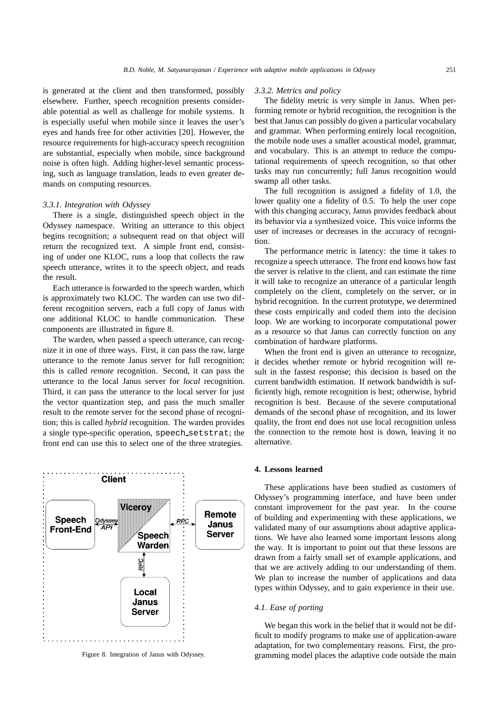is generated at the client and then transformed, possibly elsewhere. Further, speech recognition presents considerable potential as well as challenge for mobile systems. It is especially useful when mobile since it leaves the user's eyes and hands free for other activities [20]. However, the resource requirements for high-accuracy speech recognition are substantial, especially when mobile, since background noise is often high. Adding higher-level semantic processing, such as language translation, leads to even greater demands on computing resources.

# *3.3.1. Integration with Odyssey*

There is a single, distinguished speech object in the Odyssey namespace. Writing an utterance to this object begins recognition; a subsequent read on that object will return the recognized text. A simple front end, consisting of under one KLOC, runs a loop that collects the raw speech utterance, writes it to the speech object, and reads the result.

Each utterance is forwarded to the speech warden, which is approximately two KLOC. The warden can use two different recognition servers, each a full copy of Janus with one additional KLOC to handle communication. These components are illustrated in figure 8.

The warden, when passed a speech utterance, can recognize it in one of three ways. First, it can pass the raw, large utterance to the remote Janus server for full recognition; this is called *remote* recognition. Second, it can pass the utterance to the local Janus server for *local* recognition. Third, it can pass the utterance to the local server for just the vector quantization step, and pass the much smaller result to the remote server for the second phase of recognition; this is called *hybrid* recognition. The warden provides a single type-specific operation, speech setstrat; the front end can use this to select one of the three strategies.



Figure 8. Integration of Janus with Odyssey.

#### *3.3.2. Metrics and policy*

The fidelity metric is very simple in Janus. When performing remote or hybrid recognition, the recognition is the best that Janus can possibly do given a particular vocabulary and grammar. When performing entirely local recognition, the mobile node uses a smaller acoustical model, grammar, and vocabulary. This is an attempt to reduce the computational requirements of speech recognition, so that other tasks may run concurrently; full Janus recognition would swamp all other tasks.

The full recognition is assigned a fidelity of 1.0, the lower quality one a fidelity of 0.5. To help the user cope with this changing accuracy, Janus provides feedback about its behavior via a synthesized voice. This voice informs the user of increases or decreases in the accuracy of recognition.

The performance metric is latency: the time it takes to recognize a speech utterance. The front end knows how fast the server is relative to the client, and can estimate the time it will take to recognize an utterance of a particular length completely on the client, completely on the server, or in hybrid recognition. In the current prototype, we determined these costs empirically and coded them into the decision loop. We are working to incorporate computational power as a resource so that Janus can correctly function on any combination of hardware platforms.

When the front end is given an utterance to recognize, it decides whether remote or hybrid recognition will result in the fastest response; this decision is based on the current bandwidth estimation. If network bandwidth is sufficiently high, remote recognition is best; otherwise, hybrid recognition is best. Because of the severe computational demands of the second phase of recognition, and its lower quality, the front end does not use local recognition unless the connection to the remote host is down, leaving it no alternative.

# **4. Lessons learned**

These applications have been studied as customers of Odyssey's programming interface, and have been under constant improvement for the past year. In the course of building and experimenting with these applications, we validated many of our assumptions about adaptive applications. We have also learned some important lessons along the way. It is important to point out that these lessons are drawn from a fairly small set of example applications, and that we are actively adding to our understanding of them. We plan to increase the number of applications and data types within Odyssey, and to gain experience in their use.

#### *4.1. Ease of porting*

We began this work in the belief that it would not be difficult to modify programs to make use of application-aware adaptation, for two complementary reasons. First, the programming model places the adaptive code outside the main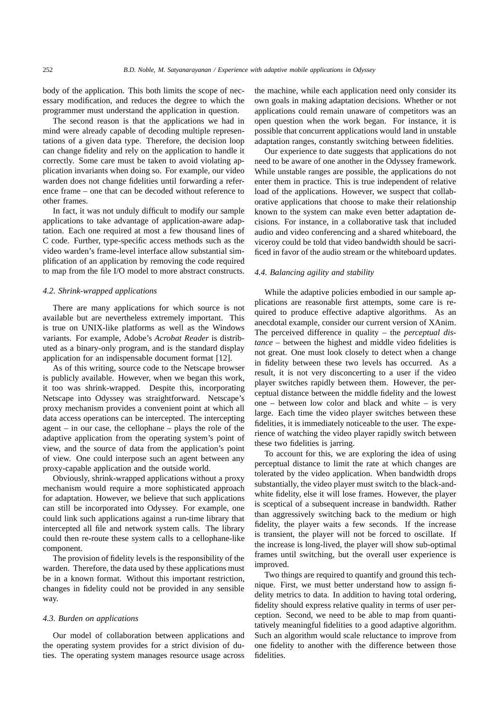body of the application. This both limits the scope of necessary modification, and reduces the degree to which the programmer must understand the application in question.

The second reason is that the applications we had in mind were already capable of decoding multiple representations of a given data type. Therefore, the decision loop can change fidelity and rely on the application to handle it correctly. Some care must be taken to avoid violating application invariants when doing so. For example, our video warden does not change fidelities until forwarding a reference frame – one that can be decoded without reference to other frames.

In fact, it was not unduly difficult to modify our sample applications to take advantage of application-aware adaptation. Each one required at most a few thousand lines of C code. Further, type-specific access methods such as the video warden's frame-level interface allow substantial simplification of an application by removing the code required to map from the file I/O model to more abstract constructs.

#### *4.2. Shrink-wrapped applications*

There are many applications for which source is not available but are nevertheless extremely important. This is true on UNIX-like platforms as well as the Windows variants. For example, Adobe's *Acrobat Reader* is distributed as a binary-only program, and is the standard display application for an indispensable document format [12].

As of this writing, source code to the Netscape browser is publicly available. However, when we began this work, it too was shrink-wrapped. Despite this, incorporating Netscape into Odyssey was straightforward. Netscape's proxy mechanism provides a convenient point at which all data access operations can be intercepted. The intercepting agent – in our case, the cellophane – plays the role of the adaptive application from the operating system's point of view, and the source of data from the application's point of view. One could interpose such an agent between any proxy-capable application and the outside world.

Obviously, shrink-wrapped applications without a proxy mechanism would require a more sophisticated approach for adaptation. However, we believe that such applications can still be incorporated into Odyssey. For example, one could link such applications against a run-time library that intercepted all file and network system calls. The library could then re-route these system calls to a cellophane-like component.

The provision of fidelity levels is the responsibility of the warden. Therefore, the data used by these applications must be in a known format. Without this important restriction, changes in fidelity could not be provided in any sensible way.

#### *4.3. Burden on applications*

Our model of collaboration between applications and the operating system provides for a strict division of duties. The operating system manages resource usage across the machine, while each application need only consider its own goals in making adaptation decisions. Whether or not applications could remain unaware of competitors was an open question when the work began. For instance, it is possible that concurrent applications would land in unstable adaptation ranges, constantly switching between fidelities.

Our experience to date suggests that applications do not need to be aware of one another in the Odyssey framework. While unstable ranges are possible, the applications do not enter them in practice. This is true independent of relative load of the applications. However, we suspect that collaborative applications that choose to make their relationship known to the system can make even better adaptation decisions. For instance, in a collaborative task that included audio and video conferencing and a shared whiteboard, the viceroy could be told that video bandwidth should be sacrificed in favor of the audio stream or the whiteboard updates.

# *4.4. Balancing agility and stability*

While the adaptive policies embodied in our sample applications are reasonable first attempts, some care is required to produce effective adaptive algorithms. As an anecdotal example, consider our current version of XAnim. The perceived difference in quality – the *perceptual distance* – between the highest and middle video fidelities is not great. One must look closely to detect when a change in fidelity between these two levels has occurred. As a result, it is not very disconcerting to a user if the video player switches rapidly between them. However, the perceptual distance between the middle fidelity and the lowest one – between low color and black and white – is very large. Each time the video player switches between these fidelities, it is immediately noticeable to the user. The experience of watching the video player rapidly switch between these two fidelities is jarring.

To account for this, we are exploring the idea of using perceptual distance to limit the rate at which changes are tolerated by the video application. When bandwidth drops substantially, the video player must switch to the black-andwhite fidelity, else it will lose frames. However, the player is sceptical of a subsequent increase in bandwidth. Rather than aggressively switching back to the medium or high fidelity, the player waits a few seconds. If the increase is transient, the player will not be forced to oscillate. If the increase is long-lived, the player will show sub-optimal frames until switching, but the overall user experience is improved.

Two things are required to quantify and ground this technique. First, we must better understand how to assign fidelity metrics to data. In addition to having total ordering, fidelity should express relative quality in terms of user perception. Second, we need to be able to map from quantitatively meaningful fidelities to a good adaptive algorithm. Such an algorithm would scale reluctance to improve from one fidelity to another with the difference between those fidelities.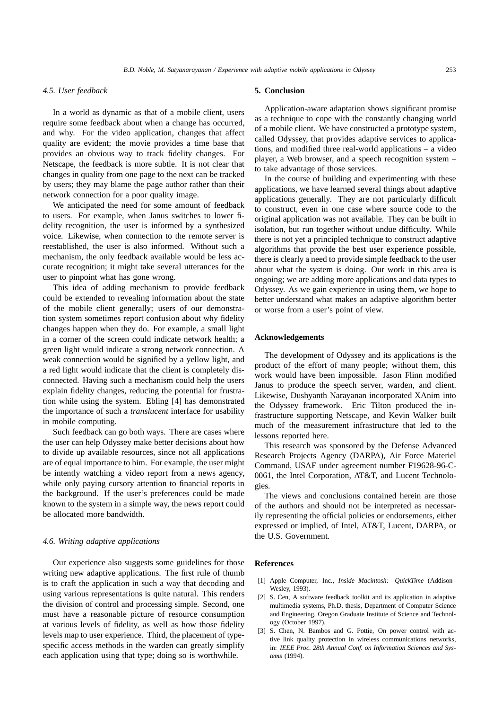# *4.5. User feedback*

In a world as dynamic as that of a mobile client, users require some feedback about when a change has occurred, and why. For the video application, changes that affect quality are evident; the movie provides a time base that provides an obvious way to track fidelity changes. For Netscape, the feedback is more subtle. It is not clear that changes in quality from one page to the next can be tracked by users; they may blame the page author rather than their network connection for a poor quality image.

We anticipated the need for some amount of feedback to users. For example, when Janus switches to lower fidelity recognition, the user is informed by a synthesized voice. Likewise, when connection to the remote server is reestablished, the user is also informed. Without such a mechanism, the only feedback available would be less accurate recognition; it might take several utterances for the user to pinpoint what has gone wrong.

This idea of adding mechanism to provide feedback could be extended to revealing information about the state of the mobile client generally; users of our demonstration system sometimes report confusion about why fidelity changes happen when they do. For example, a small light in a corner of the screen could indicate network health; a green light would indicate a strong network connection. A weak connection would be signified by a yellow light, and a red light would indicate that the client is completely disconnected. Having such a mechanism could help the users explain fidelity changes, reducing the potential for frustration while using the system. Ebling [4] has demonstrated the importance of such a *translucent* interface for usability in mobile computing.

Such feedback can go both ways. There are cases where the user can help Odyssey make better decisions about how to divide up available resources, since not all applications are of equal importance to him. For example, the user might be intently watching a video report from a news agency, while only paying cursory attention to financial reports in the background. If the user's preferences could be made known to the system in a simple way, the news report could be allocated more bandwidth.

# *4.6. Writing adaptive applications*

Our experience also suggests some guidelines for those writing new adaptive applications. The first rule of thumb is to craft the application in such a way that decoding and using various representations is quite natural. This renders the division of control and processing simple. Second, one must have a reasonable picture of resource consumption at various levels of fidelity, as well as how those fidelity levels map to user experience. Third, the placement of typespecific access methods in the warden can greatly simplify each application using that type; doing so is worthwhile.

## **5. Conclusion**

Application-aware adaptation shows significant promise as a technique to cope with the constantly changing world of a mobile client. We have constructed a prototype system, called Odyssey, that provides adaptive services to applications, and modified three real-world applications – a video player, a Web browser, and a speech recognition system – to take advantage of those services.

In the course of building and experimenting with these applications, we have learned several things about adaptive applications generally. They are not particularly difficult to construct, even in one case where source code to the original application was not available. They can be built in isolation, but run together without undue difficulty. While there is not yet a principled technique to construct adaptive algorithms that provide the best user experience possible, there is clearly a need to provide simple feedback to the user about what the system is doing. Our work in this area is ongoing; we are adding more applications and data types to Odyssey. As we gain experience in using them, we hope to better understand what makes an adaptive algorithm better or worse from a user's point of view.

## **Acknowledgements**

The development of Odyssey and its applications is the product of the effort of many people; without them, this work would have been impossible. Jason Flinn modified Janus to produce the speech server, warden, and client. Likewise, Dushyanth Narayanan incorporated XAnim into the Odyssey framework. Eric Tilton produced the infrastructure supporting Netscape, and Kevin Walker built much of the measurement infrastructure that led to the lessons reported here.

This research was sponsored by the Defense Advanced Research Projects Agency (DARPA), Air Force Materiel Command, USAF under agreement number F19628-96-C-0061, the Intel Corporation, AT&T, and Lucent Technologies.

The views and conclusions contained herein are those of the authors and should not be interpreted as necessarily representing the official policies or endorsements, either expressed or implied, of Intel, AT&T, Lucent, DARPA, or the U.S. Government.

## **References**

- [1] Apple Computer, Inc., *Inside Macintosh: QuickTime* (Addison– Wesley, 1993).
- [2] S. Cen, A software feedback toolkit and its application in adaptive multimedia systems, Ph.D. thesis, Department of Computer Science and Engineering, Oregon Graduate Institute of Science and Technology (October 1997).
- [3] S. Chen, N. Bambos and G. Pottie, On power control with active link quality protection in wireless communications networks, in: *IEEE Proc. 28th Annual Conf. on Information Sciences and Systems* (1994).